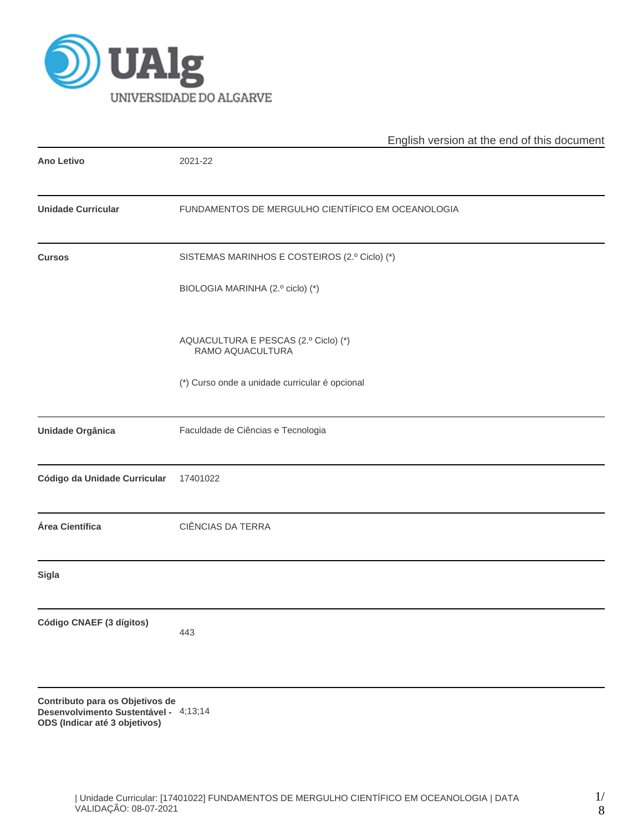

|                              | English version at the end of this document              |  |  |  |  |  |
|------------------------------|----------------------------------------------------------|--|--|--|--|--|
| <b>Ano Letivo</b>            | 2021-22                                                  |  |  |  |  |  |
| <b>Unidade Curricular</b>    | FUNDAMENTOS DE MERGULHO CIENTÍFICO EM OCEANOLOGIA        |  |  |  |  |  |
| <b>Cursos</b>                | SISTEMAS MARINHOS E COSTEIROS (2.º Ciclo) (*)            |  |  |  |  |  |
|                              | BIOLOGIA MARINHA (2.º ciclo) (*)                         |  |  |  |  |  |
|                              | AQUACULTURA E PESCAS (2.º Ciclo) (*)<br>RAMO AQUACULTURA |  |  |  |  |  |
|                              | (*) Curso onde a unidade curricular é opcional           |  |  |  |  |  |
| Unidade Orgânica             | Faculdade de Ciências e Tecnologia                       |  |  |  |  |  |
| Código da Unidade Curricular | 17401022                                                 |  |  |  |  |  |
| Área Científica              | CIÊNCIAS DA TERRA                                        |  |  |  |  |  |
| <b>Sigla</b>                 |                                                          |  |  |  |  |  |
| Código CNAEF (3 dígitos)     | 443                                                      |  |  |  |  |  |
|                              |                                                          |  |  |  |  |  |
|                              |                                                          |  |  |  |  |  |

**Contributo para os Objetivos de Desenvolvimento Sustentável -** 4;13;14**ODS (Indicar até 3 objetivos)**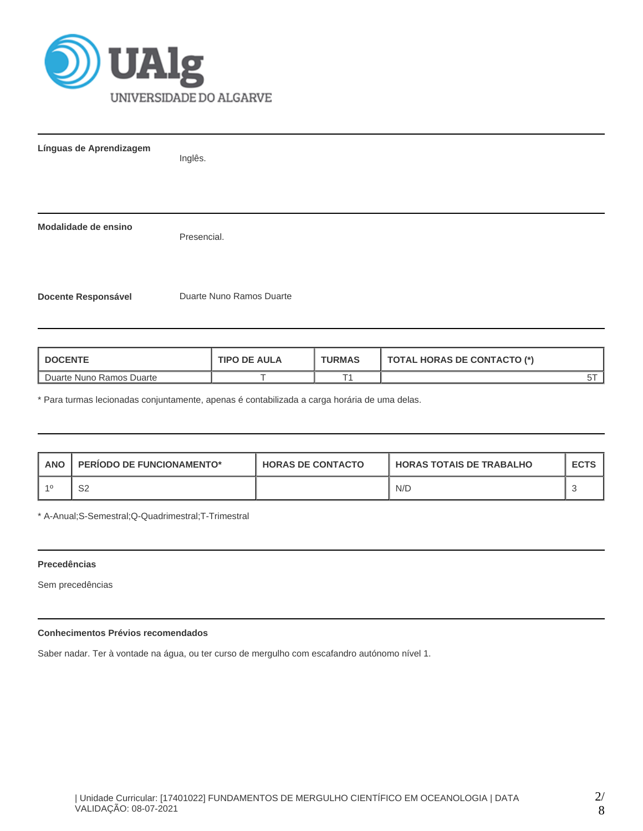

| Línguas de Aprendizagem    | Inglês.                  |
|----------------------------|--------------------------|
|                            |                          |
| Modalidade de ensino       | Presencial.              |
| <b>Docente Responsável</b> | Duarte Nuno Ramos Duarte |

| <b>DOCENTE</b>           | <b>TIPO DE AULA</b> | <b>TURMAS</b> | <b>TOTAL HORAS DE CONTACTO (*)</b> |
|--------------------------|---------------------|---------------|------------------------------------|
| Duarte Nuno Ramos Duarte |                     |               |                                    |

\* Para turmas lecionadas conjuntamente, apenas é contabilizada a carga horária de uma delas.

| <b>ANO</b> | <b>PERIODO DE FUNCIONAMENTO*</b> | <b>HORAS DE CONTACTO</b> | I HORAS TOTAIS DE TRABALHO | <b>ECTS</b> |
|------------|----------------------------------|--------------------------|----------------------------|-------------|
| 40         | ິ<br>∠ت                          |                          | N/D                        |             |

\* A-Anual;S-Semestral;Q-Quadrimestral;T-Trimestral

# **Precedências**

Sem precedências

# **Conhecimentos Prévios recomendados**

Saber nadar. Ter à vontade na água, ou ter curso de mergulho com escafandro autónomo nível 1.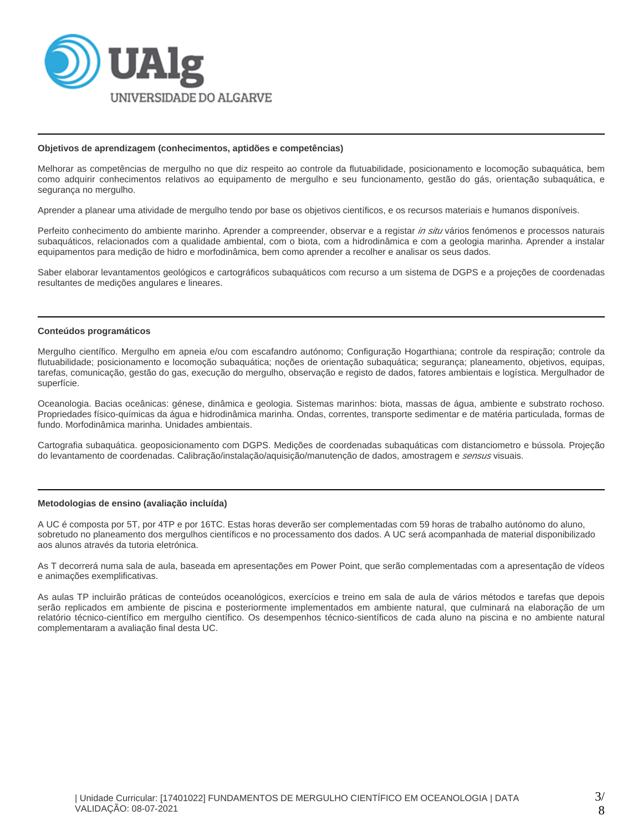

#### **Objetivos de aprendizagem (conhecimentos, aptidões e competências)**

Melhorar as competências de mergulho no que diz respeito ao controle da flutuabilidade, posicionamento e locomoção subaquática, bem como adquirir conhecimentos relativos ao equipamento de mergulho e seu funcionamento, gestão do gás, orientação subaquática, e segurança no mergulho.

Aprender a planear uma atividade de mergulho tendo por base os objetivos científicos, e os recursos materiais e humanos disponíveis.

Perfeito conhecimento do ambiente marinho. Aprender a compreender, observar e a registar in situ vários fenómenos e processos naturais subaquáticos, relacionados com a qualidade ambiental, com o biota, com a hidrodinâmica e com a geologia marinha. Aprender a instalar equipamentos para medição de hidro e morfodinâmica, bem como aprender a recolher e analisar os seus dados.

Saber elaborar levantamentos geológicos e cartográficos subaquáticos com recurso a um sistema de DGPS e a projeções de coordenadas resultantes de medições angulares e lineares.

#### **Conteúdos programáticos**

Mergulho científico. Mergulho em apneia e/ou com escafandro autónomo; Configuração Hogarthiana; controle da respiração; controle da flutuabilidade; posicionamento e locomoção subaquática; noções de orientação subaquática; segurança; planeamento, objetivos, equipas, tarefas, comunicação, gestão do gas, execução do mergulho, observação e registo de dados, fatores ambientais e logística. Mergulhador de superfície.

Oceanologia. Bacias oceânicas: génese, dinâmica e geologia. Sistemas marinhos: biota, massas de água, ambiente e substrato rochoso. Propriedades físico-químicas da água e hidrodinâmica marinha. Ondas, correntes, transporte sedimentar e de matéria particulada, formas de fundo. Morfodinâmica marinha. Unidades ambientais.

Cartografia subaquática. geoposicionamento com DGPS. Medições de coordenadas subaquáticas com distanciometro e bússola. Projeção do levantamento de coordenadas. Calibração/instalação/aquisição/manutenção de dados, amostragem e sensus visuais.

#### **Metodologias de ensino (avaliação incluída)**

A UC é composta por 5T, por 4TP e por 16TC. Estas horas deverão ser complementadas com 59 horas de trabalho autónomo do aluno, sobretudo no planeamento dos mergulhos científicos e no processamento dos dados. A UC será acompanhada de material disponibilizado aos alunos através da tutoria eletrónica.

As T decorrerá numa sala de aula, baseada em apresentações em Power Point, que serão complementadas com a apresentação de vídeos e animações exemplificativas.

As aulas TP incluirão práticas de conteúdos oceanológicos, exercícios e treino em sala de aula de vários métodos e tarefas que depois serão replicados em ambiente de piscina e posteriormente implementados em ambiente natural, que culminará na elaboração de um relatório técnico-científico em mergulho científico. Os desempenhos técnico-sientíficos de cada aluno na piscina e no ambiente natural complementaram a avaliação final desta UC.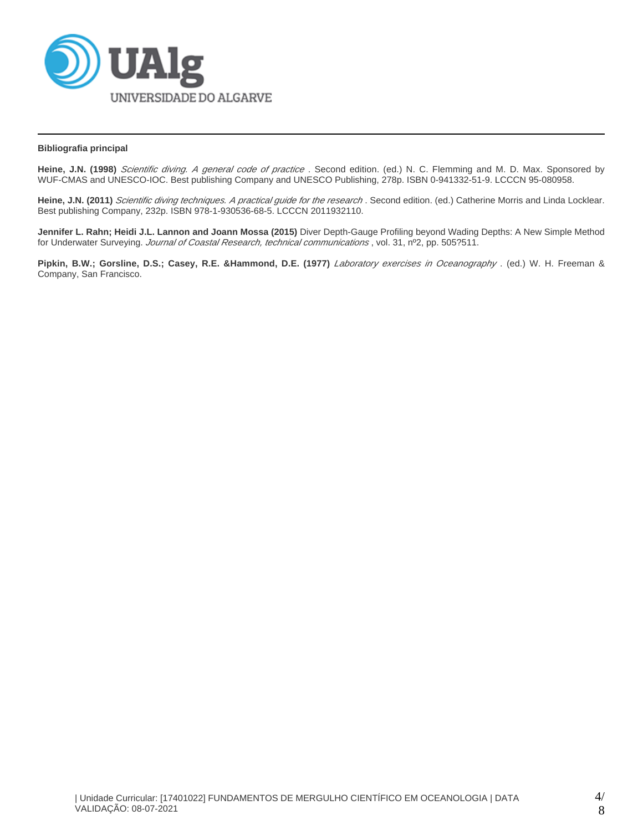

## **Bibliografia principal**

Heine, J.N. (1998) Scientific diving. A general code of practice. Second edition. (ed.) N. C. Flemming and M. D. Max. Sponsored by WUF-CMAS and UNESCO-IOC. Best publishing Company and UNESCO Publishing, 278p. ISBN 0-941332-51-9. LCCCN 95-080958.

Heine, J.N. (2011) Scientific diving techniques. A practical guide for the research . Second edition. (ed.) Catherine Morris and Linda Locklear. Best publishing Company, 232p. ISBN 978-1-930536-68-5. LCCCN 2011932110.

**Jennifer L. Rahn; Heidi J.L. Lannon and Joann Mossa (2015)** Diver Depth-Gauge Profiling beyond Wading Depths: A New Simple Method for Underwater Surveying. Journal of Coastal Research, technical communications, vol. 31, nº2, pp. 505?511.

Pipkin, B.W.; Gorsline, D.S.; Casey, R.E. &Hammond, D.E. (1977) Laboratory exercises in Oceanography . (ed.) W. H. Freeman & Company, San Francisco.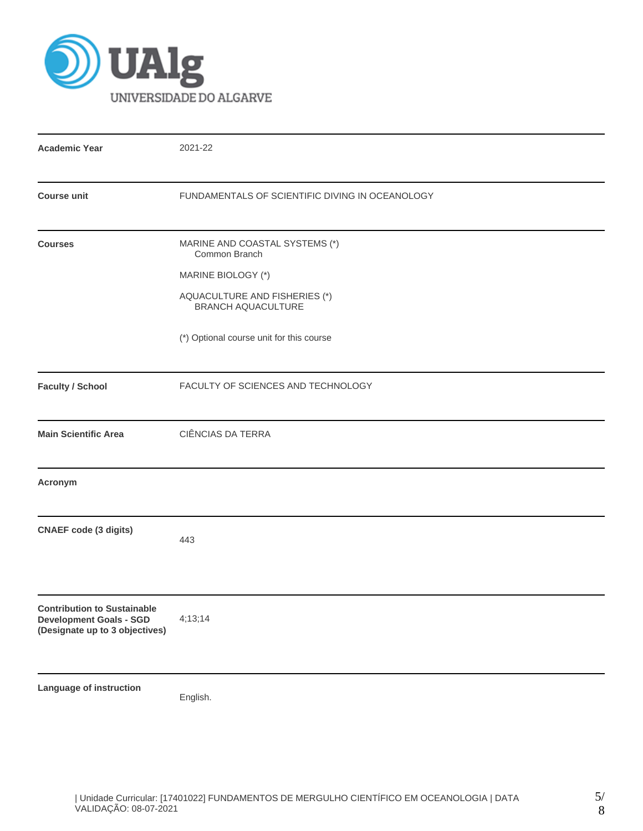

| <b>Academic Year</b>                                                                                   | 2021-22                                                    |  |  |  |  |  |
|--------------------------------------------------------------------------------------------------------|------------------------------------------------------------|--|--|--|--|--|
| <b>Course unit</b>                                                                                     | FUNDAMENTALS OF SCIENTIFIC DIVING IN OCEANOLOGY            |  |  |  |  |  |
| <b>Courses</b>                                                                                         | MARINE AND COASTAL SYSTEMS (*)<br>Common Branch            |  |  |  |  |  |
|                                                                                                        | MARINE BIOLOGY (*)                                         |  |  |  |  |  |
|                                                                                                        | AQUACULTURE AND FISHERIES (*)<br><b>BRANCH AQUACULTURE</b> |  |  |  |  |  |
|                                                                                                        | (*) Optional course unit for this course                   |  |  |  |  |  |
| <b>Faculty / School</b>                                                                                | FACULTY OF SCIENCES AND TECHNOLOGY                         |  |  |  |  |  |
| <b>Main Scientific Area</b>                                                                            | <b>CIÊNCIAS DA TERRA</b>                                   |  |  |  |  |  |
| Acronym                                                                                                |                                                            |  |  |  |  |  |
| <b>CNAEF</b> code (3 digits)                                                                           | 443                                                        |  |  |  |  |  |
| <b>Contribution to Sustainable</b><br><b>Development Goals - SGD</b><br>(Designate up to 3 objectives) | 4;13;14                                                    |  |  |  |  |  |
| Language of instruction                                                                                | English.                                                   |  |  |  |  |  |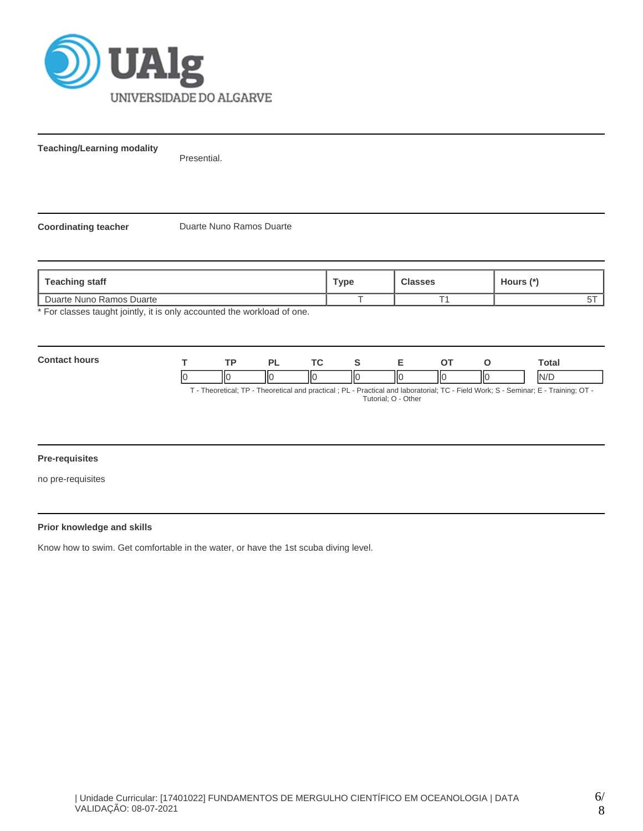

**Teaching/Learning modality**

Presential.

**Coordinating teacher** Duarte Nuno Ramos Duarte

| Teaching staff                                                        | Type | <b>Classes</b> | Hours (*) |
|-----------------------------------------------------------------------|------|----------------|-----------|
| Duarte Nuno Ramos Duarte                                              |      |                |           |
| * Ear elecces tought jointly it is only occounted the workload of one |      |                |           |

For classes taught jointly, it is only accounted the workload of one.

| Contac<br>hours |      | וח | $\sim$ |   |                              |     | <b>otal</b> |
|-----------------|------|----|--------|---|------------------------------|-----|-------------|
|                 | -lic | Ш  | IІC    | Ш | $\mathsf{I}\mathsf{C}$<br>II | IІC | N/T         |

T - Theoretical; TP - Theoretical and practical ; PL - Practical and laboratorial; TC - Field Work; S - Seminar; E - Training; OT - Tutorial; O - Other

## **Pre-requisites**

no pre-requisites

## **Prior knowledge and skills**

Know how to swim. Get comfortable in the water, or have the 1st scuba diving level.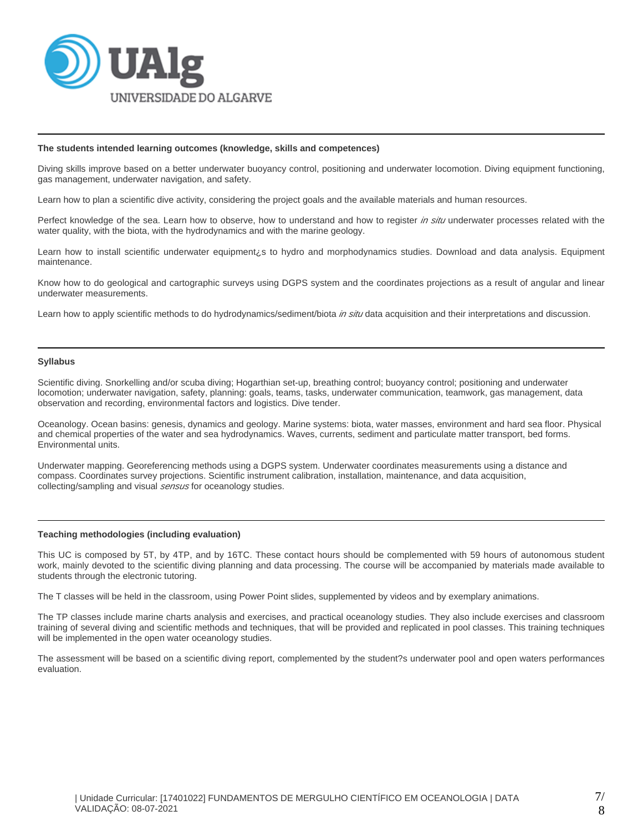

#### **The students intended learning outcomes (knowledge, skills and competences)**

Diving skills improve based on a better underwater buoyancy control, positioning and underwater locomotion. Diving equipment functioning, gas management, underwater navigation, and safety.

Learn how to plan a scientific dive activity, considering the project goals and the available materials and human resources.

Perfect knowledge of the sea. Learn how to observe, how to understand and how to register in situ underwater processes related with the water quality, with the biota, with the hydrodynamics and with the marine geology.

Learn how to install scientific underwater equipment¿s to hydro and morphodynamics studies. Download and data analysis. Equipment maintenance.

Know how to do geological and cartographic surveys using DGPS system and the coordinates projections as a result of angular and linear underwater measurements.

Learn how to apply scientific methods to do hydrodynamics/sediment/biota *in situ* data acquisition and their interpretations and discussion.

## **Syllabus**

Scientific diving. Snorkelling and/or scuba diving; Hogarthian set-up, breathing control; buoyancy control; positioning and underwater locomotion; underwater navigation, safety, planning: goals, teams, tasks, underwater communication, teamwork, gas management, data observation and recording, environmental factors and logistics. Dive tender.

Oceanology. Ocean basins: genesis, dynamics and geology. Marine systems: biota, water masses, environment and hard sea floor. Physical and chemical properties of the water and sea hydrodynamics. Waves, currents, sediment and particulate matter transport, bed forms. Environmental units.

Underwater mapping. Georeferencing methods using a DGPS system. Underwater coordinates measurements using a distance and compass. Coordinates survey projections. Scientific instrument calibration, installation, maintenance, and data acquisition, collecting/sampling and visual *sensus* for oceanology studies.

#### **Teaching methodologies (including evaluation)**

This UC is composed by 5T, by 4TP, and by 16TC. These contact hours should be complemented with 59 hours of autonomous student work, mainly devoted to the scientific diving planning and data processing. The course will be accompanied by materials made available to students through the electronic tutoring.

The T classes will be held in the classroom, using Power Point slides, supplemented by videos and by exemplary animations.

The TP classes include marine charts analysis and exercises, and practical oceanology studies. They also include exercises and classroom training of several diving and scientific methods and techniques, that will be provided and replicated in pool classes. This training techniques will be implemented in the open water oceanology studies.

The assessment will be based on a scientific diving report, complemented by the student?s underwater pool and open waters performances evaluation.